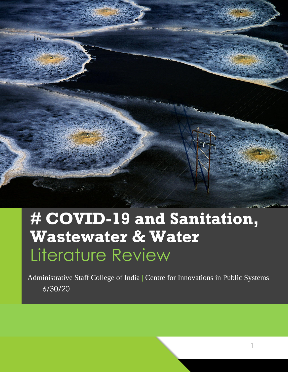

# **# COVID-19 and Sanitation, Wastewater & Water** Literature Review

6/30/20 Administrative Staff College of India | Centre for Innovations in Public Systems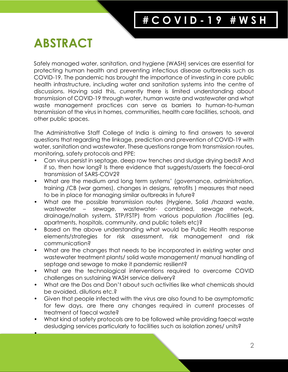# **ABSTRACT**

•

Safely managed water, sanitation, and hygiene (WASH) services are essential for protecting human health and preventing infectious disease outbreaks such as COVID-19. The pandemic has brought the importance of investing in core public health infrastructure, including water and sanitation systems into the centre of discussions. Having said this, currently there is limited understanding about transmission of COVID-19 through water, human waste and wastewater and what waste management practices can serve as barriers to human-to-human transmission of the virus in homes, communities, health care facilities, schools, and other public spaces.

The Administrative Staff College of India is aiming to find answers to several questions that regarding the linkage, prediction and prevention of COVID-19 with water, sanitation and wastewater. These questions range from transmission routes, monitoring, safety protocols and PPE:

- Can virus persist in septage, deep row trenches and sludge drying beds? And if so, then how long? Is there evidence that suggests/asserts the faecal-oral transmission of SARS-COV2?
- What are the medium and long term systems' (governance, administration, training /CB (war games), changes in designs, retrofits ) measures that need to be in place for managing similar outbreaks in future?
- What are the possible transmission routes (Hygiene, Solid /hazard waste, wastewater – sewage, wastewater- combined, sewage network, drainage/nallah system, STP/FSTP) from various population /facilities (eg. apartments, hospitals, community, and public toilets etc)?
- Based on the above understanding what would be Public Health response elements/strategies for risk assessment, risk management and risk communication?
- What are the changes that needs to be incorporated in existing water and wastewater treatment plants/ solid waste management/ manual handling of septage and sewage to make it pandemic resilient?
- What are the technological interventions required to overcome COVID challenges on sustaining WASH service delivery?
- What are the Dos and Don't about such activities like what chemicals should be avoided, dilutions etc.?
- Given that people infected with the virus are also found to be asymptomatic for few days, are there any changes required in current processes of treatment of faecal waste?
- What kind of safety protocols are to be followed while providing faecal waste desludging services particularly to facilities such as isolation zones/ units?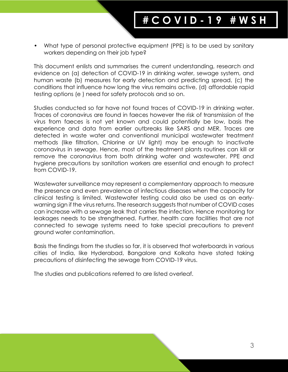• What type of personal protective equipment (PPE) is to be used by sanitary workers depending on their job type?

This document enlists and summarises the current understanding, research and evidence on (a) detection of COVID-19 in drinking water, sewage system, and human waste (b) measures for early detection and predicting spread, (c) the conditions that influence how long the virus remains active, (d) affordable rapid testing options (e ) need for safety protocols and so on.

Studies conducted so far have not found traces of COVID-19 in drinking water. Traces of coronavirus are found in faeces however the risk of transmission of the virus from faeces is not yet known and could potentially be low, basis the experience and data from earlier outbreaks like SARS and MER. Traces are detected in waste water and conventional municipal wastewater treatment methods (like filtration, Chlorine or UV light) may be enough to inactivate coronavirus in sewage. Hence, most of the treatment plants routines can kill or remove the coronavirus from both drinking water and wastewater. PPE and hygiene precautions by sanitation workers are essential and enough to protect from COVID-19.

Wastewater surveillance may represent a complementary approach to measure the presence and even prevalence of infectious diseases when the capacity for clinical testing is limited. Wastewater testing could also be used as an earlywarning sign if the virus returns. The research suggests that number of COVID cases can increase with a sewage leak that carries the infection. Hence monitoring for leakages needs to be strengthened. Further, health care facilities that are not connected to sewage systems need to take special precautions to prevent ground water contamination.

Basis the findings from the studies so far, it is observed that waterboards in various cities of India, like Hyderabad, Bangalore and Kolkata have stated taking precautions of disinfecting the sewage from COVID-19 virus.

The studies and publications referred to are listed overleaf.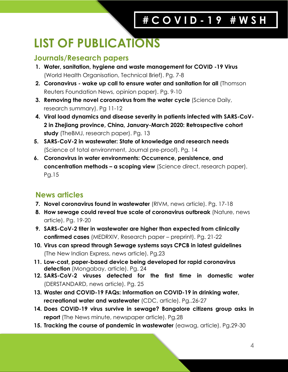# **LIST OF PUBLICATIONS**

# **Journals/Research papers**

- **1. Water, sanitation, hygiene and waste management for COVID -19 Virus** (World Health Organisation, Technical Brief). Pg. 7-8
- **2. Coronavirus - wake up call to ensure water and sanitation for all** (Thomson Reuters Foundation News, opinion paper). Pg. 9-10
- **3. Removing the novel coronavirus from the water cycle** (Science Daily, research summary). Pg 11-12
- **4. Viral load dynamics and disease severity in patients infected with SARS-CoV-2 in Zhejiang province, China, January-March 2020: Retrospective cohort study** (TheBMJ, research paper). Pg. 13
- **5. SARS-CoV-2 in wastewater: State of knowledge and research needs** (Science of total environment, Journal pre-proof). Pg. 14
- **6. Coronavirus in water environments: Occurrence, persistence, and concentration methods – a scoping view** (Science direct, research paper). Pg.15

# **News articles**

- **7. Novel coronavirus found in wastewater** (RIVM, news article). Pg. 17-18
- **8. How sewage could reveal true scale of coronavirus outbreak** (Nature, news article). Pg. 19-20
- **9. SARS-CoV-2 titer in wastewater are higher than expected from clinically confirmed cases** (MEDRXIV, Research paper – preprint). Pg. 21-22
- **10. Virus can spread through Sewage systems says CPCB in latest guidelines** (The New Indian Express, news article). Pg.23
- **11. Low-cost, paper-based device being developed for rapid coronavirus detection** (Mongabay, article). Pg. 24
- **12. SARS-CoV-2 viruses detected for the first time in domestic water**  (DERSTANDARD, news article). Pg. 25
- **13. Waster and COVID-19 FAQs: Information on COVID-19 in drinking water, recreational water and wastewater** (CDC, article). Pg..26-27
- **14. Does COVID-19 virus survive in sewage? Bangalore citizens group asks in report** (The News minute, newspaper article). Pg.28
- **15. Tracking the course of pandemic in wastewater** (eawag, article). Pg.29-30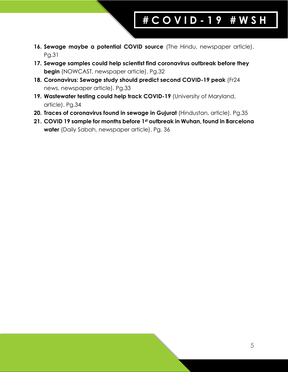- **16. Sewage maybe a potential COVID source** (The Hindu, newspaper article). Pg.31
- **17. Sewage samples could help scientist find coronavirus outbreak before they begin** (NOWCAST, newspaper article). Pg.32
- **18. Coronavirus: Sewage study should predict second COVID-19 peak** (Fr24 news, newspaper article). Pg.33
- **19. Wastewater testing could help track COVID-19** (University of Maryland, article). Pg.34
- **20. Traces of coronavirus found in sewage in Gujurat** (Hindustan, article). Pg.35
- **21. COVID 19 sample for months before 1st outbreak in Wuhan, found in Barcelona water** (Daily Sabah, newspaper article). Pg. 36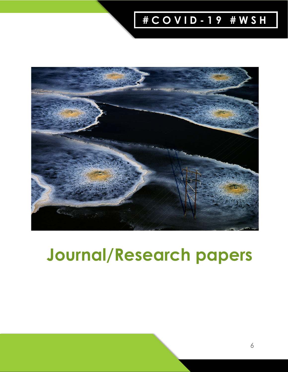

# **Journal/Research papers**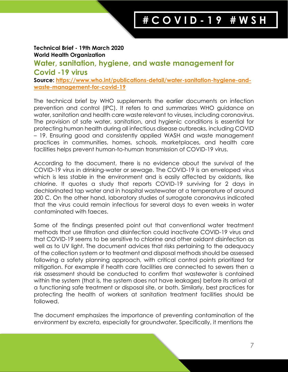## **Technical Brief - 19th March 2020 World Health Organization Water, sanitation, hygiene, and waste management for Covid -19 virus Source: [https://www.who.int/publications-detail/water-sanitation-hygiene-and](https://www.who.int/publications-detail/water-sanitation-hygiene-and-waste-management-for-covid-19)[waste-management-for-covid-19](https://www.who.int/publications-detail/water-sanitation-hygiene-and-waste-management-for-covid-19)**

The technical brief by WHO supplements the earlier documents on infection prevention and control (IPC). It refers to and summarizes WHO guidance on water, sanitation and health care waste relevant to viruses, including coronavirus. The provision of safe water, sanitation, and hygienic conditions is essential for protecting human health during all infectious disease outbreaks, including COVID – 19. Ensuring good and consistently applied WASH and waste management practices in communities, homes, schools, marketplaces, and health care facilities helps prevent human-to-human transmission of COVID-19 virus.

According to the document, there is no evidence about the survival of the COVID-19 virus in drinking-water or sewage. The COVID-19 is an enveloped virus which is less stable in the environment and is easily affected by oxidants, like chlorine. It quotes a study that reports COVID-19 surviving for 2 days in dechlorinated tap water and in hospital wastewater at a temperature of around 200 C. On the other hand, laboratory studies of surrogate coronavirus indicated that the virus could remain infectious for several days to even weeks in water contaminated with faeces.

Some of the findings presented point out that conventional water treatment methods that use filtration and disinfection could inactivate COVID-19 virus and that COVID-19 seems to be sensitive to chlorine and other oxidant disinfection as well as to UV light. The document advices that risks pertaining to the adequacy of the collection system or to treatment and disposal methods should be assessed following a safety planning approach, with critical control points prioritized for mitigation. For example if health care facilities are connected to sewers then a risk assessment should be conducted to confirm that wastewater is contained within the system (that is, the system does not have leakages) before its arrival at a functioning safe treatment or disposal site, or both. Similarly, best practices for protecting the health of workers at sanitation treatment facilities should be followed.

The document emphasizes the importance of preventing contamination of the environment by excreta, especially for groundwater. Specifically, it mentions the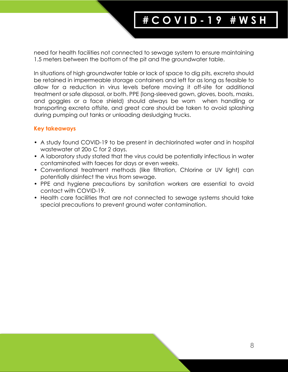need for health facilities not connected to sewage system to ensure maintaining 1.5 meters between the bottom of the pit and the groundwater table.

In situations of high groundwater table or lack of space to dig pits, excreta should be retained in impermeable storage containers and left for as long as feasible to allow for a reduction in virus levels before moving it off-site for additional treatment or safe disposal, or both. PPE (long-sleeved gown, gloves, boots, masks, and goggles or a face shield) should always be worn when handling or transporting excreta offsite, and great care should be taken to avoid splashing during pumping out tanks or unloading desludging trucks.

- A study found COVID-19 to be present in dechlorinated water and in hospital wastewater at 20o C for 2 days.
- A laboratory study stated that the virus could be potentially infectious in water contaminated with faeces for days or even weeks.
- Conventional treatment methods (like filtration, Chlorine or UV light) can potentially disinfect the virus from sewage.
- PPE and hygiene precautions by sanitation workers are essential to avoid contact with COVID-19.
- Health care facilities that are not connected to sewage systems should take special precautions to prevent ground water contamination.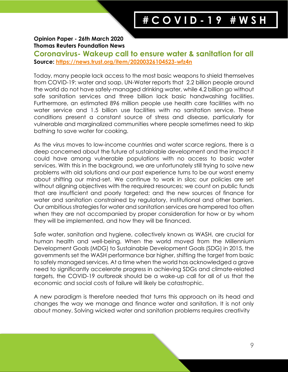#### **Opinion Paper - 26th March 2020 Thomas Reuters Foundation News**

**Coronavirus- Wakeup call to ensure water & sanitation for all Source:<https://news.trust.org/item/20200326104523-wfz4n>**

Today, many people lack access to the most basic weapons to shield themselves from COVID-19: water and soap. UN-Water reports that 2.2 billion people around the world do not have safely-managed drinking water, while 4.2 billion go without safe sanitation services and three billion lack basic handwashing facilities. Furthermore, an estimated 896 million people use health care facilities with no water service and 1.5 billion use facilities with no sanitation service. These conditions present a constant source of stress and disease, particularly for vulnerable and marginalized communities where people sometimes need to skip bathing to save water for cooking.

As the virus moves to low-income countries and water scarce regions, there is a deep concerned about the future of sustainable development and the impact it could have among vulnerable populations with no access to basic water services. With this in the background, we are unfortunately still trying to solve new problems with old solutions and our past experience turns to be our worst enemy about shifting our mind-set. We continue to work in silos; our policies are set without aligning objectives with the required resources; we count on public funds that are insufficient and poorly targeted; and the new sources of finance for water and sanitation constrained by regulatory, institutional and other barriers. Our ambitious strategies for water and sanitation services are hampered too often when they are not accompanied by proper consideration for how or by whom they will be implemented, and how they will be financed.

Safe water, sanitation and hygiene, collectively known as WASH, are crucial for human health and well-being. When the world moved from the Millennium Development Goals (MDG) to Sustainable Development Goals (SDG) in 2015, the governments set the WASH performance bar higher, shifting the target from basic to safely managed services. At a time when the world has acknowledged a grave need to significantly accelerate progress in achieving SDGs and climate-related targets, the COVID-19 outbreak should be a wake-up call for all of us that the economic and social costs of failure will likely be catastrophic.

A new paradigm is therefore needed that turns this approach on its head and changes the way we manage and finance water and sanitation. It is not only about money. Solving wicked water and sanitation problems requires creativity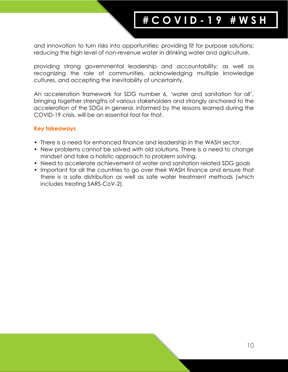and innovation to turn risks into opportunities; providing fit for purpose solutions; reducing the high level of non-revenue water in drinking water and agriculture,

providing strong governmental leadership and accountability; as well as recognizing the role of communities, acknowledging multiple knowledge cultures, and accepting the inevitability of uncertainty.

An acceleration framework for SDG number 6, 'water and sanitation for all', bringing together strengths of various stakeholders and strongly anchored to the acceleration of the SDGs in general, informed by the lessons learned during the COVID-19 crisis, will be an essential tool for that.

- There is a need for enhanced finance and leadership in the WASH sector.
- New problems cannot be solved with old solutions. There is a need to change mindset and take a holistic approach to problem solving.
- Need to accelerate achievement of water and sanitation related SDG goals
- Important for all the countries to go over their WASH finance and ensure that there is a safe distribution as well as safe water treatment methods (which includes treating SARS-CoV-2).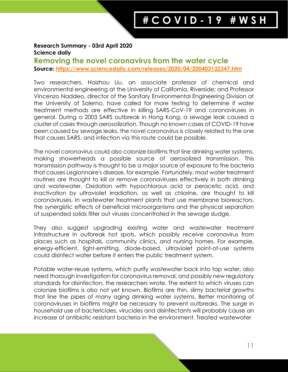#### **Research Summary - 03rd April 2020 Science daily**

### **Removing the novel coronavirus from the water cycle Source: <https://www.sciencedaily.com/releases/2020/04/200403132347.htm>**

Two researchers, Haizhou Liu, an associate professor of chemical and environmental engineering at the University of California, Riverside; and Professor Vincenzo Naddeo, director of the Sanitary Environmental Engineering Division at the University of Salerno, have called for more testing to determine if water treatment methods are effective in killing SARS-CoV-19 and coronaviruses in general. During a 2003 SARS outbreak in Hong Kong, a sewage leak caused a cluster of cases through aerosolization. Though no known cases of COVID-19 have been caused by sewage leaks, the novel coronavirus is closely related to the one that causes SARS, and infection via this route could be possible.

The novel coronavirus could also colonize biofilms that line drinking water systems, making showerheads a possible source of aerosolized transmission. This transmission pathway is thought to be a major source of exposure to the bacteria that causes Legionnaire's disease, for example. Fortunately, most water treatment routines are thought to kill or remove coronaviruses effectively in both drinking and wastewater. Oxidation with hypochlorous acid or peracetic acid, and inactivation by ultraviolet irradiation, as well as chlorine, are thought to kill coronaviruses. In wastewater treatment plants that use membrane bioreactors, the synergistic effects of beneficial microorganisms and the physical separation of suspended solids filter out viruses concentrated in the sewage sludge.

They also suggest upgrading existing water and wastewater treatment infrastructure in outbreak hot spots, which possibly receive coronavirus from places such as hospitals, community clinics, and nursing homes. For example, energy-efficient, light-emitting, diode-based, ultraviolet point-of-use systems could disinfect water before it enters the public treatment system.

Potable water-reuse systems, which purify wastewater back into tap water, also need thorough investigation for coronavirus removal, and possibly new regulatory standards for disinfection, the researchers wrote. The extent to which viruses can colonize biofilms is also not yet known. Biofilms are thin, slimy bacterial growths that line the pipes of many aging drinking water systems. Better monitoring of coronaviruses in biofilms might be necessary to prevent outbreaks. The surge in household use of bactericides, virucides and disinfectants will probably cause an increase of antibiotic-resistant bacteria in the environment. Treated wastewater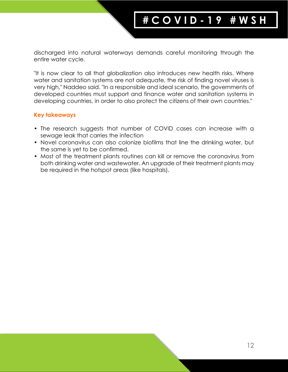discharged into natural waterways demands careful monitoring through the entire water cycle.

"It is now clear to all that globalization also introduces new health risks. Where water and sanitation systems are not adequate, the risk of finding novel viruses is very high," Naddeo said. "In a responsible and ideal scenario, the governments of developed countries must support and finance water and sanitation systems in developing countries, in order to also protect the citizens of their own countries."

- The research suggests that number of COVID cases can increase with a sewage leak that carries the infection
- Novel coronavirus can also colonize biofilms that line the drinking water, but the same is yet to be confirmed.
- Most of the treatment plants routines can kill or remove the coronavirus from both drinking water and wastewater. An upgrade of their treatment plants may be required in the hotspot areas (like hospitals).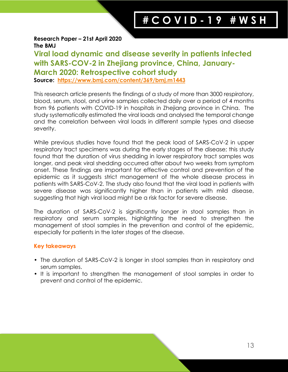### **Research Paper – 21st April 2020 The BMJ**

**Viral load dynamic and disease severity in patients infected with SARS-COV-2 in Zhejiang province, China, January-March 2020: Retrospective cohort study Source: <https://www.bmj.com/content/369/bmj.m1443>**

This research article presents the findings of a study of more than 3000 respiratory, blood, serum, stool, and urine samples collected daily over a period of 4 months from 96 patients with COVID-19 in hospitals in Zhejiang province in China. The study systematically estimated the viral loads and analysed the temporal change and the correlation between viral loads in different sample types and disease severity.

While previous studies have found that the peak load of SARS-CoV-2 in upper respiratory tract specimens was during the early stages of the disease; this study found that the duration of virus shedding in lower respiratory tract samples was longer, and peak viral shedding occurred after about two weeks from symptom onset. These findings are important for effective control and prevention of the epidemic as it suggests strict management of the whole disease process in patients with SARS-CoV-2. The study also found that the viral load in patients with severe disease was significantly higher than in patients with mild disease, suggesting that high viral load might be a risk factor for severe disease.

The duration of SARS-CoV-2 is significantly longer in stool samples than in respiratory and serum samples, highlighting the need to strengthen the management of stool samples in the prevention and control of the epidemic, especially for patients in the later stages of the disease.

- The duration of SARS-CoV-2 is longer in stool samples than in respiratory and serum samples.
- It is important to strengthen the management of stool samples in order to prevent and control of the epidemic.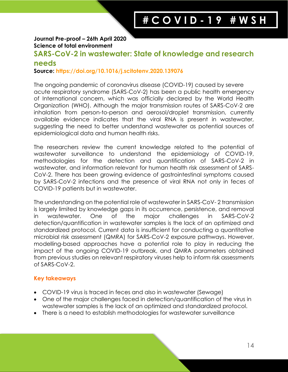#### **Journal Pre-proof – 26th April 2020 Science of total environment**

# **SARS-CoV-2 in wastewater: State of knowledge and research**

### **needs**

### **Source: https://doi.org/10.1016/j.scitotenv.2020.139076**

The ongoing pandemic of coronavirus disease (COVID-19) caused by severe acute respiratory syndrome (SARS-CoV-2) has been a public health emergency of International concern, which was officially declared by the World Health Organization (WHO). Although the major transmission routes of SARS-CoV-2 are inhalation from person-to-person and aerosol/droplet transmission, currently available evidence indicates that the viral RNA is present in wastewater, suggesting the need to better understand wastewater as potential sources of epidemiological data and human health risks.

The researchers review the current knowledge related to the potential of wastewater surveillance to understand the epidemiology of COVID-19, methodologies for the detection and quantification of SARS-CoV-2 in wastewater, and information relevant for human health risk assessment of SARS-CoV-2. There has been growing evidence of gastrointestinal symptoms caused by SARS-CoV-2 infections and the presence of viral RNA not only in feces of COVID-19 patients but in wastewater.

The understanding on the potential role of wastewater in SARS-CoV- 2 transmission is largely limited by knowledge gaps in its occurrence, persistence, and removal in wastewater. One of the major challenges in SARS-CoV-2 detection/quantification in wastewater samples is the lack of an optimized and standardized protocol. Current data is insufficient for conducting a quantitative microbial risk assessment (QMRA) for SARS-CoV-2 exposure pathways. However, modelling-based approaches have a potential role to play in reducing the impact of the ongoing COVID-19 outbreak, and QMRA parameters obtained from previous studies on relevant respiratory viruses help to inform risk assessments of SARS-CoV-2.

- COVID-19 virus is traced in feces and also in wastewater (Sewage)
- One of the major challenges faced in detection/quantification of the virus in wastewater samples is the lack of an optimized and standardized protocol.
- There is a need to establish methodologies for wastewater surveillance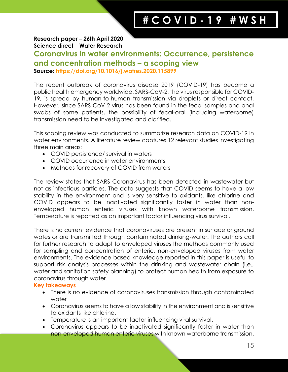**Research paper – 26th April 2020 Science direct – Water Research** 

# **Coronavirus in water environments: Occurrence, persistence and concentration methods – a scoping view**

**Source: https://doi.org/10.1016/j.watres.2020.115899**

The recent outbreak of coronavirus disease 2019 (COVID-19) has become a public health emergency worldwide. SARS-CoV-2, the virus responsible for COVID-19, is spread by human-to-human transmission via droplets or direct contact. However, since SARS-CoV-2 virus has been found in the fecal samples and anal swabs of some patients, the possibility of fecal-oral (including waterborne) transmission need to be investigated and clarified.

This scoping review was conducted to summarize research data on COVID-19 in water environments. A literature review captures 12 relevant studies investigating three main areas:

- COVID persistence/ survival in waters
- COVID occurrence in water environments
- Methods for recovery of COVID from waters

The review states that SARS Coronavirus has been detected in wastewater but not as infectious particles. The data suggests that COVID seems to have a low stability in the environment and is very sensitive to oxidants, like chlorine and COVID appears to be inactivated significantly faster in water than nonenveloped human enteric viruses with known waterborne transmission. Temperature is reported as an important factor influencing virus survival.

There is no current evidence that coronaviruses are present in surface or ground wates or are transmitted through contaminated drinking-water. The authors call for further research to adapt to enveloped viruses the methods commonly used for sampling and concentration of enteric, non-enveloped viruses from water environments. The evidence-based knowledge reported in this paper is useful to support risk analysis processes within the drinking and wastewater chain (i.e., water and sanitation safety planning) to protect human health from exposure to coronavirus through water.

- There is no evidence of coronaviruses transmission through contaminated water
- Coronavirus seems to have a low stability in the environment and is sensitive to oxidants like chlorine.
- Temperature is an important factor influencing viral survival.
- Coronavirus appears to be inactivated significantly faster in water than non-enveloped human enteric viruses with known waterborne transmission.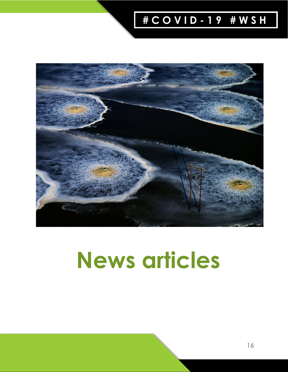

# **News articles**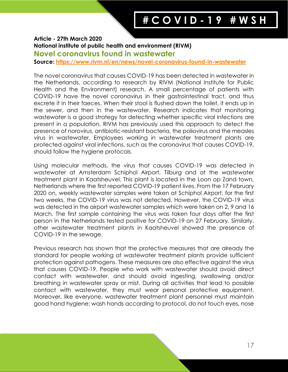### **Article - 27th March 2020 National institute of public health and environment (RIVM) Novel coronavirus found in wastewater**

**Source:<https://www.rivm.nl/en/news/novel-coronavirus-found-in-wastewater>**

The novel coronavirus that causes COVID-19 has been detected in wastewater in the Netherlands, according to research by RIVM (National Institute for Public Health and the Environment) research. A small percentage of patients with COVID-19 have the novel coronavirus in their gastrointestinal tract, and thus excrete it in their faeces. When their stool is flushed down the toilet, it ends up in the sewer, and then in the wastewater. Research indicates that monitoring wastewater is a good strategy for detecting whether specific viral infections are present in a population. RIVM has previously used this approach to detect the presence of norovirus, antibiotic-resistant bacteria, the poliovirus and the measles virus in wastewater. Employees working in wastewater treatment plants are protected against viral infections, such as the coronavirus that causes COVID-19, should follow the hygiene protocols.

Using molecular methods, the virus that causes COVID-19 was detected in wastewater at Amsterdam Schiphol Airport, Tilburg and at the wastewater treatment plant in Kaatsheuvel. This plant is located in the Loon op Zand town, Netherlands where the first reported COVID-19 patient lives. From the 17 February 2020 on, weekly wastewater samples were taken at Schiphol Airport, for the first two weeks, the COVID-19 virus was not detected. However, the COVID-19 virus was detected in the airport wastewater samples which were taken on 2, 9 and 16 March. The first sample containing the virus was taken four days after the first person in the Netherlands tested positive for COVID-19 on 27 February. Similarly, other wastewater treatment plants in Kaatsheuvel showed the presence of COVID-19 in the sewage.

Previous research has shown that the protective measures that are already the standard for people working at wastewater treatment plants provide sufficient protection against pathogens. These measures are also effective against the virus that causes COVID-19. People who work with wastewater should avoid direct contact with wastewater, and should avoid ingesting, swallowing and/or breathing in wastewater spray or mist. During all activities that lead to possible contact with wastewater, they must wear personal protective equipment. Moreover, like everyone, wastewater treatment plant personnel must maintain good hand hygiene: wash hands according to protocol, do not touch eyes, nose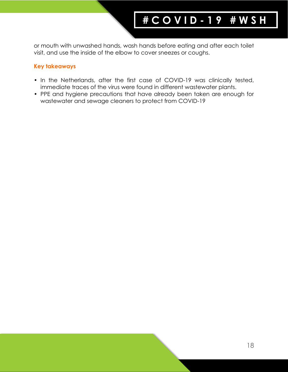or mouth with unwashed hands, wash hands before eating and after each toilet visit, and use the inside of the elbow to cover sneezes or coughs.

- In the Netherlands, after the first case of COVID-19 was clinically tested, immediate traces of the virus were found in different wastewater plants.
- PPE and hygiene precautions that have already been taken are enough for wastewater and sewage cleaners to protect from COVID-19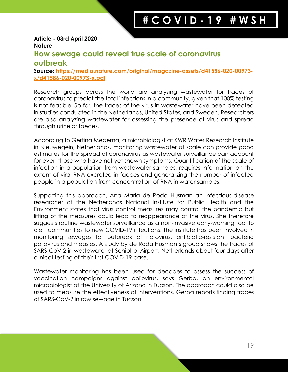#### **Article - 03rd April 2020 Nature**

# **How sewage could reveal true scale of coronavirus**

### **outbreak**

**Source: [https://media.nature.com/original/magazine-assets/d41586-020-00973](https://media.nature.com/original/magazine-assets/d41586-020-00973-x/d41586-020-00973-x.pdf) [x/d41586-020-00973-x.pdf](https://media.nature.com/original/magazine-assets/d41586-020-00973-x/d41586-020-00973-x.pdf)**

Research groups across the world are analysing wastewater for traces of coronavirus to predict the total infections in a community, given that 100% testing is not feasible. So far, the traces of the virus in wastewater have been detected in studies conducted in the Netherlands, United States, and Sweden. Researchers are also analyzing wastewater for assessing the presence of virus and spread through urine or faeces.

According to Gertina Medema, a microbiologist at KWR Water Research Institute in Nieuwegein, Netherlands, monitoring wastewater at scale can provide good estimates for the spread of coronavirus as wastewater surveillance can account for even those who have not yet shown symptoms. Quantification of the scale of infection in a population from wastewater samples, requires information on the extent of viral RNA excreted in faeces and generalizing the number of infected people in a population from concentration of RNA in water samples.

Supporting this approach, Ana Maria de Roda Husman an infectious-disease researcher at the Netherlands National Institute for Public Health and the Environment states that virus control measures may control the pandemic but lifting of the measures could lead to reappearance of the virus. She therefore suggests routine wastewater surveillance as a non-invasive early-warning tool to alert communities to new COVID-19 infections. The institute has been involved in monitoring sewages for outbreak of norovirus, antibiotic-resistant bacteria poliovirus and measles. A study by de Roda Husman's group shows the traces of SARS-CoV-2 in wastewater at Schiphol Airport, Netherlands about four days after clinical testing of their first COVID-19 case.

Wastewater monitoring has been used for decades to assess the success of vaccination campaigns against poliovirus, says Gerba, an environmental microbiologist at the University of Arizona in Tucson. The approach could also be used to measure the effectiveness of interventions. Gerba reports finding traces of SARS-CoV-2 in raw sewage in Tucson.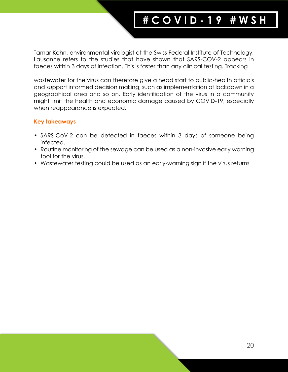Tamar Kohn, environmental virologist at the Swiss Federal Institute of Technology, Lausanne refers to the studies that have shown that SARS-COV-2 appears in faeces within 3 days of infection. This is faster than any clinical testing. Tracking

wastewater for the virus can therefore give a head start to public-health officials and support informed decision making, such as implementation of lockdown in a geographical area and so on. Early identification of the virus in a community might limit the health and economic damage caused by COVID-19, especially when reappearance is expected.

- SARS-CoV-2 can be detected in faeces within 3 days of someone being infected.
- Routine monitoring of the sewage can be used as a non-invasive early warning tool for the virus.
- Wastewater testing could be used as an early-warning sign if the virus returns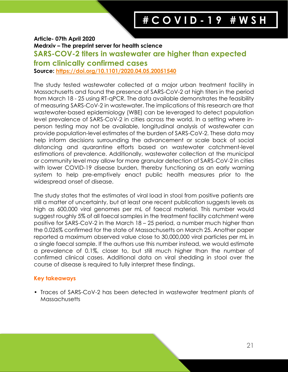#### **Article- 07th April 2020**

**Medrxiv – The preprint server for health science** 

### **SARS-COV-2 titers in wastewater are higher than expected**

**from clinically confirmed cases**

**Source:<https://doi.org/10.1101/2020.04.05.20051540>**

The study tested wastewater collected at a major urban treatment facility in Massachusetts and found the presence of SARS-CoV-2 at high titers in the period from March 18 - 25 using RT-qPCR. The data available demonstrates the feasibility of measuring SARS-CoV-2 in wastewater. The implications of this research are that wastewater-based epidemiology (WBE) can be leveraged to detect population level prevalence of SARS-CoV-2 in cities across the world. In a setting where inperson testing may not be available, longitudinal analysis of wastewater can provide population-level estimates of the burden of SARS-CoV-2. These data may help inform decisions surrounding the advancement or scale back of social distancing and quarantine efforts based on wastewater catchment-level estimations of prevalence. Additionally, wastewater collection at the municipal or community level may allow for more granular detection of SARS-CoV-2 in cities with lower COVID-19 disease burden, thereby functioning as an early warning system to help pre-emptively enact public health measures prior to the widespread onset of disease.

The study states that the estimates of viral load in stool from positive patients are still a matter of uncertainty, but at least one recent publication suggests levels as high as 600,000 viral genomes per mL of faecal material. This number would suggest roughly 5% of all faecal samples in the treatment facility catchment were positive for SARS-CoV-2 in the March 18 – 25 period, a number much higher than the 0.026% confirmed for the state of Massachusetts on March 25. Another paper reported a maximum observed value close to 30,000,000 viral particles per mL in a single faecal sample. If the authors use this number instead, we would estimate a prevalence of 0.1%, closer to, but still much higher than the number of confirmed clinical cases. Additional data on viral shedding in stool over the course of disease is required to fully interpret these findings.

### **Key takeaways**

• Traces of SARS-CoV-2 has been detected in wastewater treatment plants of Massachusetts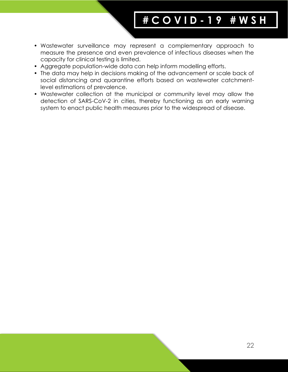- Wastewater surveillance may represent a complementary approach to measure the presence and even prevalence of infectious diseases when the capacity for clinical testing is limited.
- Aggregate population-wide data can help inform modelling efforts.
- The data may help in decisions making of the advancement or scale back of social distancing and quarantine efforts based on wastewater catchmentlevel estimations of prevalence.
- Wastewater collection at the municipal or community level may allow the detection of SARS-CoV-2 in cities, thereby functioning as an early warning system to enact public health measures prior to the widespread of disease.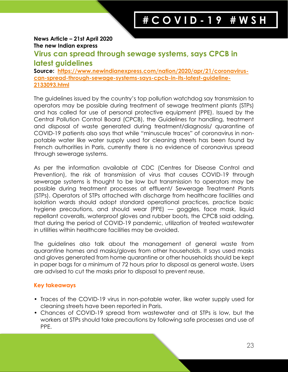#### **News Article – 21st April 2020 The new Indian express**

# **Virus can spread through sewage systems, says CPCB in latest guidelines**

**Source: [https://www.newindianexpress.com/nation/2020/apr/21/coronavirus](https://www.newindianexpress.com/nation/2020/apr/21/coronavirus-can-spread-through-sewage-systems-says-cpcb-in-its-latest-guideline-2133093.html)[can-spread-through-sewage-systems-says-cpcb-in-its-latest-guideline-](https://www.newindianexpress.com/nation/2020/apr/21/coronavirus-can-spread-through-sewage-systems-says-cpcb-in-its-latest-guideline-2133093.html)[2133093.html](https://www.newindianexpress.com/nation/2020/apr/21/coronavirus-can-spread-through-sewage-systems-says-cpcb-in-its-latest-guideline-2133093.html)**

The guidelines issued by the country's top pollution watchdog say transmission to operators may be possible during treatment of sewage treatment plants (STPs) and has called for use of personal protective equipment (PPE). Issued by the Central Pollution Control Board (CPCB), the Guidelines for handling, treatment and disposal of waste generated during treatment/diagnosis/ quarantine of COVID-19 patients also says that while "minuscule traces" of coronavirus in nonpotable water like water supply used for cleaning streets has been found by French authorities in Paris, currently there is no evidence of coronavirus spread through sewerage systems.

As per the information available at CDC (Centres for Disease Control and Prevention), the risk of transmission of virus that causes COVID-19 through sewerage systems is thought to be low but transmission to operators may be possible during treatment processes at effluent/ Sewerage Treatment Plants (STPs). Operators of STPs attached with discharge from healthcare facilities and isolation wards should adopt standard operational practices, practice basic hygiene precautions, and should wear (PPE) — goggles, face mask, liquid repellant coveralls, waterproof gloves and rubber boots, the CPCB said adding, that during the period of COVID-19 pandemic, utilization of treated wastewater in utilities within healthcare facilities may be avoided.

The guidelines also talk about the management of general waste from quarantine homes and masks/gloves from other households. It says used masks and gloves generated from home quarantine or other households should be kept in paper bags for a minimum of 72 hours prior to disposal as general waste. Users are advised to cut the masks prior to disposal to prevent reuse.

- Traces of the COVID-19 virus in non-potable water, like water supply used for cleaning streets have been reported in Paris.
- Chances of COVID-19 spread from wastewater and at STPs is low, but the workers at STPs should take precautions by following safe processes and use of PPE.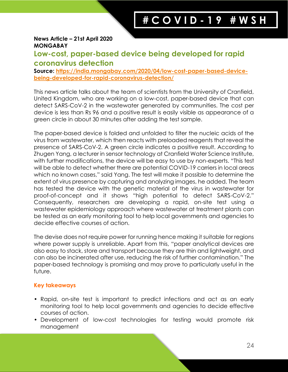#### **News Article – 21st April 2020 MONGABAY**

# **Low-cost, paper-based device being developed for rapid coronavirus detection**

**Source: [https://india.mongabay.com/2020/04/low-cost-paper-based-device](https://india.mongabay.com/2020/04/low-cost-paper-based-device-being-developed-for-rapid-coronavirus-detection/)[being-developed-for-rapid-coronavirus-detection/](https://india.mongabay.com/2020/04/low-cost-paper-based-device-being-developed-for-rapid-coronavirus-detection/)**

This news article talks about the team of scientists from the University of Cranfield, United Kingdom, who are working on a low-cost, paper-based device that can detect SARS-CoV-2 in the wastewater generated by communities. The cost per device is less than Rs 96 and a positive result is easily visible as appearance of a green circle in about 30 minutes after adding the test sample.

The paper-based device is folded and unfolded to filter the nucleic acids of the virus from wastewater, which then reacts with preloaded reagents that reveal the presence of SARS-CoV-2. A green circle indicates a positive result. According to Zhugen Yang, a lecturer in sensor technology at Cranfield Water Science Institute, with further modifications, the device will be easy to use by non-experts. "This test will be able to detect whether there are potential COVID-19 carriers in local areas which no known cases," said Yang. The test will make it possible to determine the extent of virus presence by capturing and analyzing images, he added. The team has tested the device with the genetic material of the virus in wastewater for proof-of-concept and it shows "high potential to detect SARS-CoV-2." Consequently, researchers are developing a rapid, on-site test using a wastewater epidemiology approach where wastewater at treatment plants can be tested as an early monitoring tool to help local governments and agencies to decide effective courses of action.

The devise does not require power for running hence making it suitable for regions where power supply is unreliable. Apart from this, "paper analytical devices are also easy to stack, store and transport because they are thin and lightweight, and can also be incinerated after use, reducing the risk of further contamination." The paper-based technology is promising and may prove to particularly useful in the future.

- Rapid, on-site test is important to predict infections and act as an early monitoring tool to help local governments and agencies to decide effective courses of action.
- Development of low-cost technologies for testing would promote risk management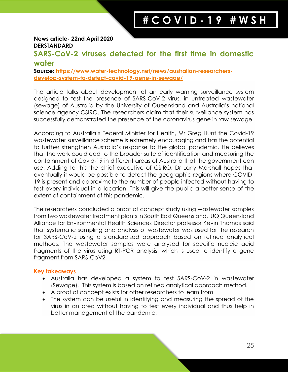#### **News article- 22nd April 2020 DERSTANDARD**

# **SARS-CoV-2 viruses detected for the first time in domestic water**

**Source: [https://www.water-technology.net/news/australian-researchers](https://www.water-technology.net/news/australian-researchers-develop-system-to-detect-covid-19-gene-in-sewage/)[develop-system-to-detect-covid-19-gene-in-sewage/](https://www.water-technology.net/news/australian-researchers-develop-system-to-detect-covid-19-gene-in-sewage/)**

The article talks about development of an early warning surveillance system designed to test the presence of SARS-CoV-2 virus, in untreated wastewater (sewage) of Australia by the University of Queensland and Australia's national science agency CSIRO. The researchers claim that their surveillance system has successfully demonstrated the presence of the coronavirus gene in raw sewage.

According to Australia's Federal Minister for Health, Mr Greg Hunt the Covid-19 wastewater surveillance scheme is extremely encouraging and has the potential to further strengthen Australia's response to the global pandemic. He believes that the work could add to the broader suite of identification and measuring the containment of Covid-19 in different areas of Australia that the government can use. Adding to this the chief executive of CSIRO, Dr Larry Marshall hopes that eventually it would be possible to detect the geographic regions where COVID-19 is present and approximate the number of people infected without having to test every individual in a location. This will give the public a better sense of the extent of containment of this pandemic.

The researchers concluded a proof of concept study using wastewater samples from two wastewater treatment plants in South East Queensland. UQ Queensland Alliance for Environmental Health Sciences Director professor Kevin Thomas said that systematic sampling and analysis of wastewater was used for the research for SARS-CoV-2 using a standardised approach based on refined analytical methods. The wastewater samples were analysed for specific nucleic acid fragments of the virus using RT-PCR analysis, which is used to identify a gene fragment from SARS-CoV2.

- Australia has developed a system to test SARS-CoV-2 in wastewater (Sewage). This system is based on refined analytical approach method.
- A proof of concept exists for other researchers to learn from.
- The system can be useful in identifying and measuring the spread of the virus in an area without having to test every individual and thus help in better management of the pandemic.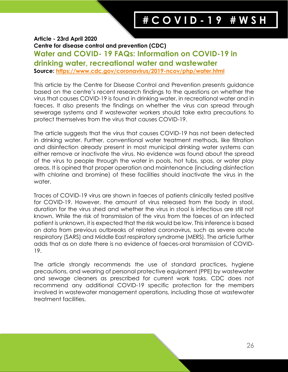### **Article - 23rd April 2020 Centre for disease control and prevention (CDC) Water and COVID- 19 FAQs: Information on COVID-19 in drinking water, recreational water and wastewater Source: <https://www.cdc.gov/coronavirus/2019-ncov/php/water.html>**

This article by the Centre for Disease Control and Prevention presents guidance based on the centre's recent research findings to the questions on whether the virus that causes COVID-19 is found in drinking water, in recreational water and in faeces. It also presents the findings on whether the virus can spread through sewerage systems and if wastewater workers should take extra precautions to protect themselves from the virus that causes COVID-19.

The article suggests that the virus that causes COVID-19 has not been detected in drinking water. Further, conventional water treatment methods, like filtration and disinfection already present in most municipal drinking water systems can either remove or inactivate the virus. No evidence was found about the spread of the virus to people through the water in pools, hot tubs, spas, or water play areas. It is opined that proper operation and maintenance (including disinfection with chlorine and bromine) of these facilities should inactivate the virus in the water.

Traces of COVID-19 virus are shown in faeces of patients clinically tested positive for COVID-19. However, the amount of virus released from the body in stool, duration for the virus shed and whether the virus in stool is infectious are still not known. While the risk of transmission of the virus from the faeces of an infected patient is unknown, it is expected that the risk would be low. This inference is based on data from previous outbreaks of related coronavirus, such as severe acute respiratory (SARS) and Middle East respiratory syndrome (MERS). The article further adds that as on date there is no evidence of faeces-oral transmission of COVID-19.

The article strongly recommends the use of standard practices, hygiene precautions, and wearing of personal protective equipment (PPE) by wastewater and sewage cleaners as prescribed for current work tasks. CDC does not recommend any additional COVID-19 specific protection for the members involved in wastewater management operations, including those at wastewater treatment facilities.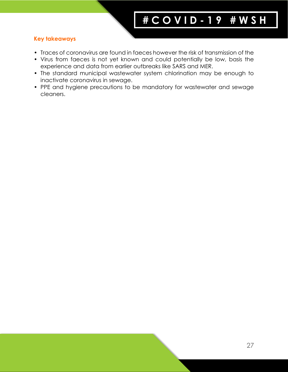- Traces of coronavirus are found in faeces however the risk of transmission of the
- Virus from faeces is not yet known and could potentially be low, basis the experience and data from earlier outbreaks like SARS and MER.
- The standard municipal wastewater system chlorination may be enough to inactivate coronavirus in sewage.
- PPE and hygiene precautions to be mandatory for wastewater and sewage cleaners.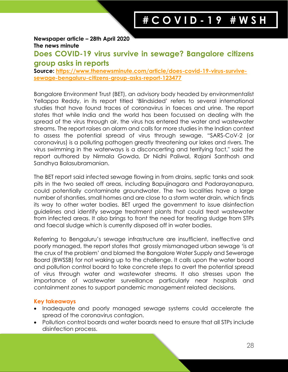**Newspaper article – 28th April 2020 The news minute**

# **Does COVID-19 virus survive in sewage? Bangalore citizens group asks in reports**

**Source: [https://www.thenewsminute.com/article/does-covid-19-virus-survive](https://www.thenewsminute.com/article/does-covid-19-virus-survive-sewage-bengaluru-citizens-group-asks-report-123477)[sewage-bengaluru-citizens-group-asks-report-123477](https://www.thenewsminute.com/article/does-covid-19-virus-survive-sewage-bengaluru-citizens-group-asks-report-123477)**

Bangalore Environment Trust (BET), an advisory body headed by environmentalist Yellappa Reddy, in its report titled 'Blindsided' refers to several international studies that have found traces of coronavirus in faeces and urine. The report states that while India and the world has been focussed on dealing with the spread of the virus through air, the virus has entered the water and wastewater streams. The report raises an alarm and calls for more studies in the Indian context to assess the potential spread of virus through sewage. "SARS-CoV-2 (or coronavirus) is a polluting pathogen greatly threatening our lakes and rivers. The virus swimming in the waterways is a disconcerting and terrifying fact," said the report authored by Nirmala Gowda, Dr Nidhi Paliwal, Rajani Santhosh and Sandhya Balasubramanian.

The BET report said infected sewage flowing in from drains, septic tanks and soak pits in the two sealed off areas, including Bapujinagara and Padarayanapura, could potentially contaminate groundwater. The two localities have a large number of shanties, small homes and are close to a storm water drain, which finds its way to other water bodies. BET urged the government to issue disinfection guidelines and identify sewage treatment plants that could treat wastewater from infected areas. It also brings to front the need for treating sludge from STPs and faecal sludge which is currently disposed off in water bodies.

Referring to Bengaluru's sewage infrastructure are insufficient, ineffective and poorly managed, the report states that grossly mismanaged urban sewage 'is at the crux of the problem' and blamed the Bangalore Water Supply and Sewerage Board (BWSSB) for not waking up to the challenge. It calls upon the water board and pollution control board to take concrete steps to avert the potential spread of virus through water and wastewater streams. It also stresses upon the importance of wastewater surveillance particularly near hospitals and containment zones to support pandemic management related decisions.

- Inadequate and poorly managed sewage systems could accelerate the spread of the coronavirus contagion.
- Pollution control boards and water boards need to ensure that all STPs include disinfection process.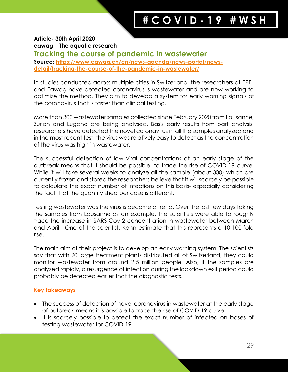**Article- 30th April 2020 eawag – The aquatic research Tracking the course of pandemic in wastewater Source: [https://www.eawag.ch/en/news-agenda/news-portal/news](https://www.eawag.ch/en/news-agenda/news-portal/news-detail/tracking-the-course-of-the-pandemic-in-wastewater/)[detail/tracking-the-course-of-the-pandemic-in-wastewater/](https://www.eawag.ch/en/news-agenda/news-portal/news-detail/tracking-the-course-of-the-pandemic-in-wastewater/)**

In studies conducted across multiple cities in Switzerland, the researchers at EPFL and Eawag have detected coronavirus is wastewater and are now working to optimize the method. They aim to develop a system for early warning signals of the coronavirus that is faster than clinical testing.

More than 300 wastewater samples collected since February 2020 from Lausanne, Zurich and Lugano are being analysed. Basis early results from part analysis, researchers have detected the novel coronavirus in all the samples analyzed and in the most recent test, the virus was relatively easy to detect as the concentration of the virus was high in wastewater.

The successful detection of low viral concentrations at an early stage of the outbreak means that it should be possible, to trace the rise of COVID-19 curve. While it will take several weeks to analyze all the sample (about 300) which are currently frozen and stored the researchers believe that it will scarcely be possible to calculate the exact number of infections on this basis- especially considering the fact that the quantity shed per case is different.

Testing wastewater was the virus is become a trend. Over the last few days taking the samples from Lausanne as an example, the scientists were able to roughly trace the increase in SARS-Cov-2 concentration in wastewater between March and April : One of the scientist, Kohn estimate that this represents a 10-100-fold rise.

The main aim of their project is to develop an early warning system. The scientists say that with 20 large treatment plants distributed all of Switzerland, they could monitor wastewater from around 2.5 million people. Also, if the samples are analyzed rapidly, a resurgence of infection during the lockdown exit period could probably be detected earlier that the diagnostic tests.

- The success of detection of novel coronavirus in wastewater at the early stage of outbreak means it is possible to trace the rise of COVID-19 curve.
- It is scarcely possible to detect the exact number of infected on bases of testing wastewater for COVID-19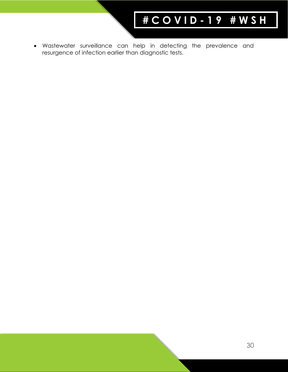• Wastewater surveillance can help in detecting the prevalence and resurgence of infection earlier than diagnostic tests.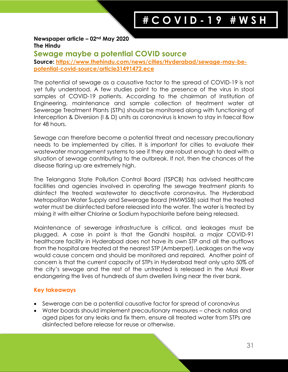#### **Newspaper article – 02nd May 2020 The Hindu**

## **Sewage maybe a potential COVID source**

**Source: [https://www.thehindu.com/news/cities/Hyderabad/sewage-may-be](https://www.thehindu.com/news/cities/Hyderabad/sewage-may-be-potential-covid-source/article31491472.ece)[potential-covid-source/article31491472.ece](https://www.thehindu.com/news/cities/Hyderabad/sewage-may-be-potential-covid-source/article31491472.ece)**

The potential of sewage as a causative factor to the spread of COVID-19 is not yet fully understood. A few studies point to the presence of the virus in stool samples of COVID-19 patients. According to the chairman of Institution of Engineering, maintenance and sample collection of treatment water at Sewerage Treatment Plants (STPs) should be monitored along with functioning of Interception & Diversion (I & D) units as coronavirus is known to stay in faecal flow for 48 hours.

Sewage can therefore become a potential threat and necessary precautionary needs to be implemented by cities. It is important for cities to evaluate their wastewater management systems to see if they are robust enough to deal with a situation of sewage contributing to the outbreak. If not, then the chances of the disease flaring up are extremely high.

The Telangana State Pollution Control Board (TSPCB) has advised healthcare facilities and agencies involved in operating the sewage treatment plants to disinfect the treated wastewater to deactivate coronavirus. The Hyderabad Metropolitan Water Supply and Sewerage Board (HMWSSB) said that the treated water must be disinfected before released into the water. The water is treated by mixing it with either Chlorine or Sodium hypochlorite before being released.

Maintenance of sewerage infrastructure is critical, and leakages must be plugged. A case in point is that the Gandhi hospital, a major COVID-91 healthcare facility in Hyderabad does not have its own STP and all the outflows from the hospital are treated at the nearest STP (Amberpet). Leakages on the way would cause concern and should be monitored and repaired. Another point of concern is that the current capacity of STPs in Hyderabad treat only upto 50% of the city's sewage and the rest of the untreated is released in the Musi River endangering the lives of hundreds of slum dwellers living near the river bank.

- Sewerage can be a potential causative factor for spread of coronavirus
- Water boards should implement precautionary measures check nallas and aged pipes for any leaks and fix them, ensure all treated water from STPs are disinfected before release for reuse or otherwise.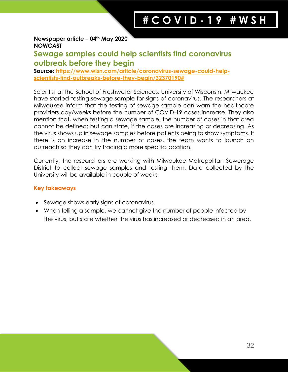#### **Newspaper article – 04th May 2020 NOWCAST**

# **Sewage samples could help scientists find coronavirus outbreak before they begin**

**Source: [https://www.wisn.com/article/coronavirus-sewage-could-help](https://www.wisn.com/article/coronavirus-sewage-could-help-scientists-find-outbreaks-before-they-begin/32370190)[scientists-find-outbreaks-before-they-begin/32370190#](https://www.wisn.com/article/coronavirus-sewage-could-help-scientists-find-outbreaks-before-they-begin/32370190)**

Scientist at the School of Freshwater Sciences, University of Wisconsin, Milwaukee have started testing sewage sample for signs of coronavirus. The researchers at Milwaukee inform that the testing of sewage sample can warn the healthcare providers day/weeks before the number of COVID-19 cases increase. They also mention that, when testing a sewage sample, the number of cases in that area cannot be defined; but can state, if the cases are increasing or decreasing. As the virus shows up in sewage samples before patients being to show symptoms. If there is an increase in the number of cases, the team wants to launch an outreach so they can try tracing a more specific location.

Currently, the researchers are working with Milwaukee Metropolitan Sewerage District to collect sewage samples and testing them. Data collected by the University will be available in couple of weeks,

- Sewage shows early signs of coronavirus.
- When telling a sample, we cannot give the number of people infected by the virus, but state whether the virus has increased or decreased in an area.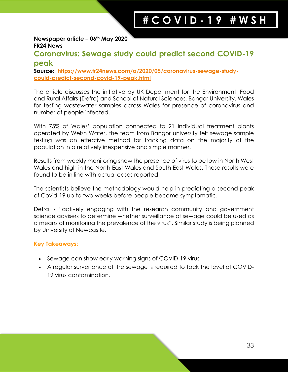#### **Newspaper article – 06th May 2020 FR24 News**

# **Coronavirus: Sewage study could predict second COVID-19 peak**

**Source: [https://www.fr24news.com/a/2020/05/coronavirus-sewage-study](https://www.fr24news.com/a/2020/05/coronavirus-sewage-study-could-predict-second-covid-19-peak.html)[could-predict-second-covid-19-peak.html](https://www.fr24news.com/a/2020/05/coronavirus-sewage-study-could-predict-second-covid-19-peak.html)**

The article discusses the initiative by UK Department for the Environment, Food and Rural Affairs (Defra) and School of Natural Sciences, Bangor University, Wales for testing wastewater samples across Wales for presence of coronavirus and number of people infected.

With 75% of Wales' population connected to 21 individual treatment plants operated by Welsh Water, the team from Bangor university felt sewage sample testing was an effective method for tracking data on the majority of the population in a relatively inexpensive and simple manner.

Results from weekly monitoring show the presence of virus to be low in North West Wales and high in the North East Wales and South East Wales. These results were found to be in line with actual cases reported.

The scientists believe the methodology would help in predicting a second peak of Covid-19 up to two weeks before people become symptomatic.

Defra is "actively engaging with the research community and government science advisers to determine whether surveillance of sewage could be used as a means of monitoring the prevalence of the virus". Similar study is being planned by University of Newcastle.

- Sewage can show early warning signs of COVID-19 virus
- A regular surveillance of the sewage is required to tack the level of COVID-19 virus contamination.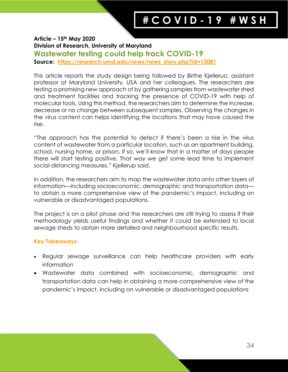**Article – 15th May 2020 Division of Research, University of Maryland Wastewater testing could help track COVID-19 Source: [https://research.umd.edu/news/news\\_story.php?id=13081](https://research.umd.edu/news/news_story.php?id=13081)**

This article reports the study design being followed by Birthe Kjelleruo, assistant professor at Maryland University, USA and her colleagues. The researchers are testing a promising new approach of by gathering samples from wastewater shed and treatment facilities and tracking the presence of COVID-19 with help of molecular tools. Using this method, the researchers aim to determine the increase, decrease or no change between subsequent samples. Observing the changes in the virus content can helps identifying the locations that may have caused the rise.

"The approach has the potential to detect if there's been a rise in the virus content of wastewater from a particular location, such as an apartment building, school, nursing home, or prison. If so, we'll know that in a matter of days people there will start testing positive. That way we get some lead time to implement social distancing measures," Kjellerup said.

In addition, the researchers aim to map the wastewater data onto other layers of information—including socioeconomic, demographic and transportation data to obtain a more comprehensive view of the pandemic's impact, including on vulnerable or disadvantaged populations.

The project is on a pilot phase and the researchers are still trying to assess if their methodology yields useful findings and whether it could be extended to local sewage sheds to obtain more detailed and neighbourhood specific results.

- Regular sewage surveillance can help healthcare providers with early information
- Wastewater data combined with socioeconomic, demographic and transportation data can help in obtaining a more comprehensive view of the pandemic's impact, including on vulnerable or disadvantaged populations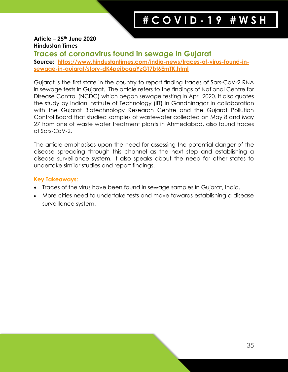#### **Article – 25th June 2020 Hindustan Times**

# **Traces of coronavirus found in sewage in Gujarat**

**Source: [https://www.hindustantimes.com/india-news/traces-of-virus-found-in](https://www.hindustantimes.com/india-news/traces-of-virus-found-in-sewage-in-gujarat/story-dK4peiboaaYzGT7bt6EmTK.html)[sewage-in-gujarat/story-dK4peiboaaYzGT7bt6EmTK.html](https://www.hindustantimes.com/india-news/traces-of-virus-found-in-sewage-in-gujarat/story-dK4peiboaaYzGT7bt6EmTK.html)**

Gujarat is the first state in the country to report finding traces of Sars-CoV-2 RNA in sewage tests in Gujarat. The article refers to the findings of National Centre for Disease Control (NCDC) which began sewage testing in April 2020. It also quotes the study by Indian Institute of Technology (IIT) in Gandhinagar in collaboration with the Gujarat Biotechnology Research Centre and the Gujarat Pollution Control Board that studied samples of wastewater collected on May 8 and May 27 from one of waste water treatment plants in Ahmedabad, also found traces of Sars-CoV-2.

The article emphasises upon the need for assessing the potential danger of the disease spreading through this channel as the next step and establishing a disease surveillance system. It also speaks about the need for other states to undertake similar studies and report findings.

- Traces of the virus have been found in sewage samples in Gujarat, India.
- More cities need to undertake tests and move towards establishing a disease surveillance system.